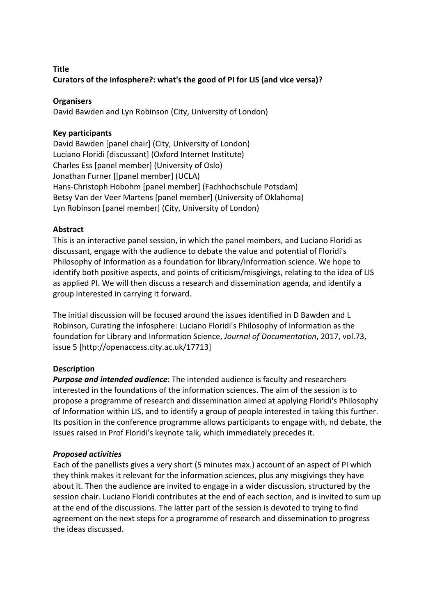# **Title Curators** of the infosphere?: what's the good of PI for LIS (and vice versa)?

## **Organisers**

David Bawden and Lyn Robinson (City, University of London)

# **Key participants**

David Bawden [panel chair] (City, University of London) Luciano Floridi [discussant] (Oxford Internet Institute) Charles Ess [panel member] (University of Oslo) Jonathan Furner [[panel member] (UCLA) Hans-Christoph Hobohm [panel member] (Fachhochschule Potsdam) Betsy Van der Veer Martens [panel member] (University of Oklahoma) Lyn Robinson [panel member] (City, University of London)

# **Abstract**

This is an interactive panel session, in which the panel members, and Luciano Floridi as discussant, engage with the audience to debate the value and potential of Floridi's Philosophy of Information as a foundation for library/information science. We hope to identify both positive aspects, and points of criticism/misgivings, relating to the idea of LIS as applied PI. We will then discuss a research and dissemination agenda, and identify a group interested in carrying it forward.

The initial discussion will be focused around the issues identified in D Bawden and L Robinson, Curating the infosphere: Luciano Floridi's Philosophy of Information as the foundation for Library and Information Science, *Journal of Documentation*, 2017, vol.73, issue 5 [http://openaccess.city.ac.uk/17713]

### **Description**

**Purpose and intended audience**: The intended audience is faculty and researchers interested in the foundations of the information sciences. The aim of the session is to propose a programme of research and dissemination aimed at applying Floridi's Philosophy of Information within LIS, and to identify a group of people interested in taking this further. Its position in the conference programme allows participants to engage with, nd debate, the issues raised in Prof Floridi's keynote talk, which immediately precedes it.

### *Proposed activities*

Each of the panellists gives a very short (5 minutes max.) account of an aspect of PI which they think makes it relevant for the information sciences, plus any misgivings they have about it. Then the audience are invited to engage in a wider discussion, structured by the session chair. Luciano Floridi contributes at the end of each section, and is invited to sum up at the end of the discussions. The latter part of the session is devoted to trying to find agreement on the next steps for a programme of research and dissemination to progress the ideas discussed.